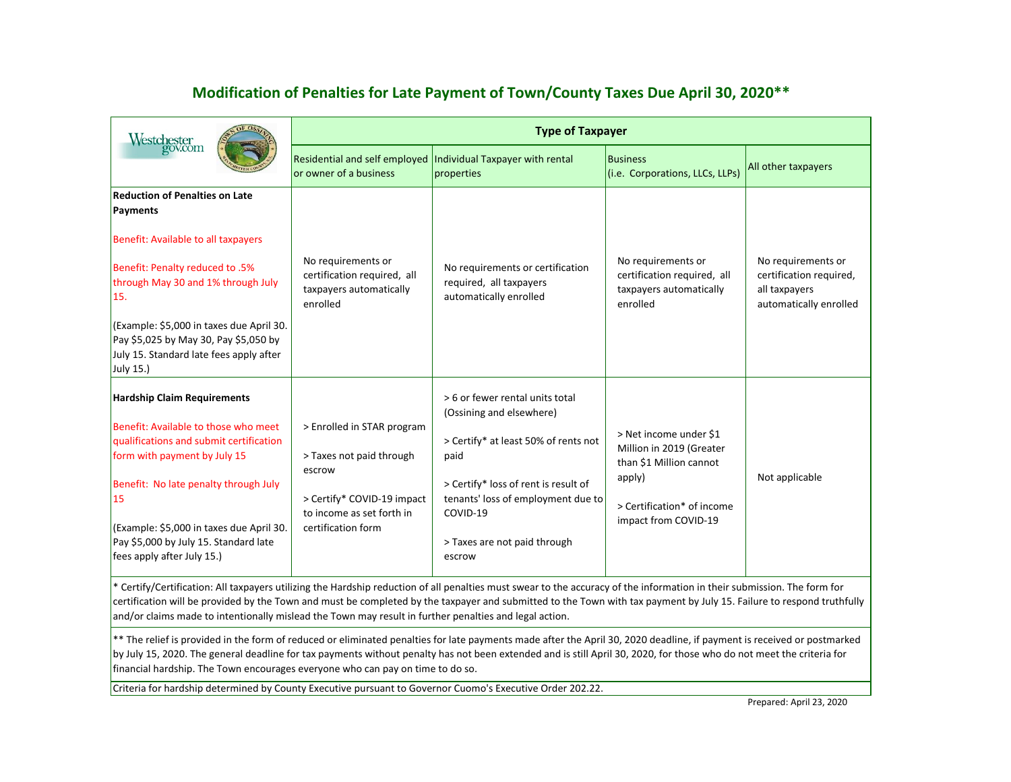## **Modification of Penalties for Late Payment of Town/County Taxes Due April 30, 2020\*\***

| Westchester<br>gov.com                                                                                                                                                                                                                                                                                                  | <b>Type of Taxpayer</b>                                                                                                                           |                                                                                                                                                                                                                                                 |                                                                                                                                               |                                                                                          |
|-------------------------------------------------------------------------------------------------------------------------------------------------------------------------------------------------------------------------------------------------------------------------------------------------------------------------|---------------------------------------------------------------------------------------------------------------------------------------------------|-------------------------------------------------------------------------------------------------------------------------------------------------------------------------------------------------------------------------------------------------|-----------------------------------------------------------------------------------------------------------------------------------------------|------------------------------------------------------------------------------------------|
|                                                                                                                                                                                                                                                                                                                         | or owner of a business                                                                                                                            | Residential and self employed  Individual Taxpayer with rental<br>properties                                                                                                                                                                    | <b>Business</b><br>(i.e. Corporations, LLCs, LLPs)                                                                                            | All other taxpayers                                                                      |
| <b>Reduction of Penalties on Late</b><br>Payments<br>Benefit: Available to all taxpayers<br>Benefit: Penalty reduced to .5%<br>through May 30 and 1% through July<br>15.<br>(Example: \$5,000 in taxes due April 30.<br>Pay \$5,025 by May 30, Pay \$5,050 by<br>July 15. Standard late fees apply after<br>July 15.)   | No requirements or<br>certification required, all<br>taxpayers automatically<br>enrolled                                                          | No requirements or certification<br>required, all taxpayers<br>automatically enrolled                                                                                                                                                           | No requirements or<br>certification required, all<br>taxpayers automatically<br>enrolled                                                      | No requirements or<br>certification required,<br>all taxpayers<br>automatically enrolled |
| <b>Hardship Claim Requirements</b><br>Benefit: Available to those who meet<br>qualifications and submit certification<br>form with payment by July 15<br>Benefit: No late penalty through July<br>15<br>(Example: \$5,000 in taxes due April 30.<br>Pay \$5,000 by July 15. Standard late<br>fees apply after July 15.) | > Enrolled in STAR program<br>> Taxes not paid through<br>escrow<br>> Certify* COVID-19 impact<br>to income as set forth in<br>certification form | > 6 or fewer rental units total<br>(Ossining and elsewhere)<br>> Certify* at least 50% of rents not<br>paid<br>> Certify* loss of rent is result of<br>tenants' loss of employment due to<br>COVID-19<br>> Taxes are not paid through<br>escrow | > Net income under \$1<br>Million in 2019 (Greater<br>than \$1 Million cannot<br>apply)<br>> Certification* of income<br>impact from COVID-19 | Not applicable                                                                           |

\* Certify/Certification: All taxpayers utilizing the Hardship reduction of all penalties must swear to the accuracy of the information in their submission. The form for certification will be provided by the Town and must be completed by the taxpayer and submitted to the Town with tax payment by July 15. Failure to respond truthfully and/or claims made to intentionally mislead the Town may result in further penalties and legal action.

\*\* The relief is provided in the form of reduced or eliminated penalties for late payments made after the April 30, 2020 deadline, if payment is received or postmarked by July 15, 2020. The general deadline for tax payments without penalty has not been extended and is still April 30, 2020, for those who do not meet the criteria for financial hardship. The Town encourages everyone who can pay on time to do so.

Criteria for hardship determined by County Executive pursuant to Governor Cuomo's Executive Order 202.22.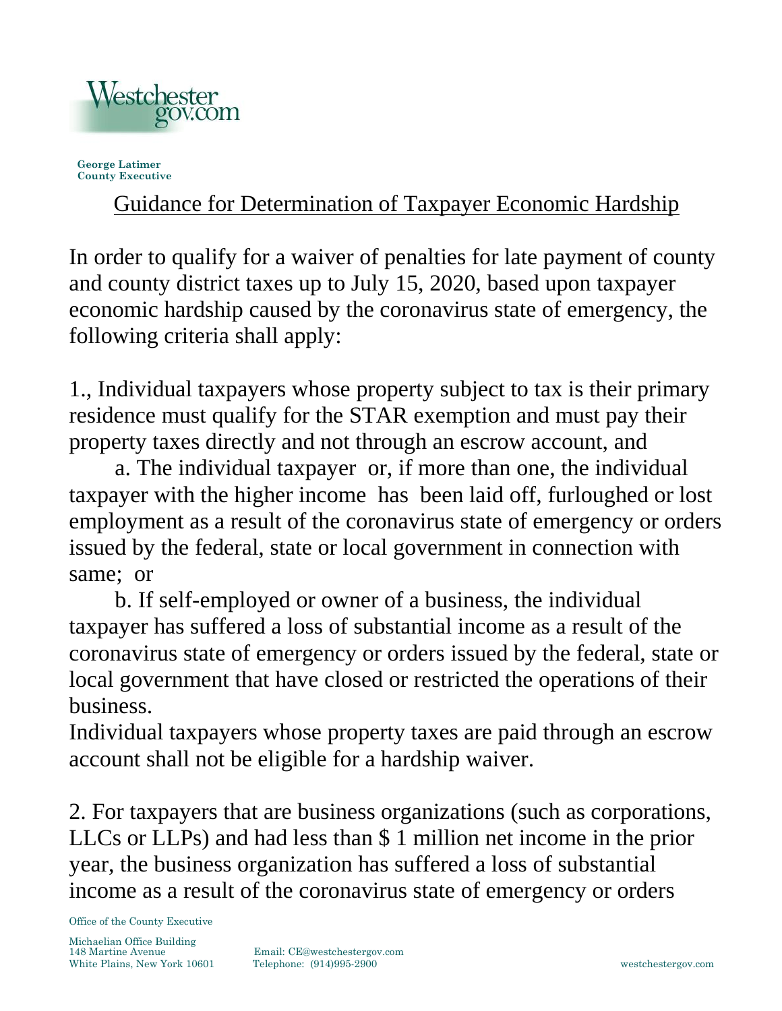

**George Latimer County Executive**

## Guidance for Determination of Taxpayer Economic Hardship

In order to qualify for a waiver of penalties for late payment of county and county district taxes up to July 15, 2020, based upon taxpayer economic hardship caused by the coronavirus state of emergency, the following criteria shall apply:

1., Individual taxpayers whose property subject to tax is their primary residence must qualify for the STAR exemption and must pay their property taxes directly and not through an escrow account, and

a. The individual taxpayer or, if more than one, the individual taxpayer with the higher income has been laid off, furloughed or lost employment as a result of the coronavirus state of emergency or orders issued by the federal, state or local government in connection with same; or

b. If self-employed or owner of a business, the individual taxpayer has suffered a loss of substantial income as a result of the coronavirus state of emergency or orders issued by the federal, state or local government that have closed or restricted the operations of their business.

Individual taxpayers whose property taxes are paid through an escrow account shall not be eligible for a hardship waiver.

2. For taxpayers that are business organizations (such as corporations, LLCs or LLPs) and had less than \$ 1 million net income in the prior year, the business organization has suffered a loss of substantial income as a result of the coronavirus state of emergency or orders

Office of the County Executive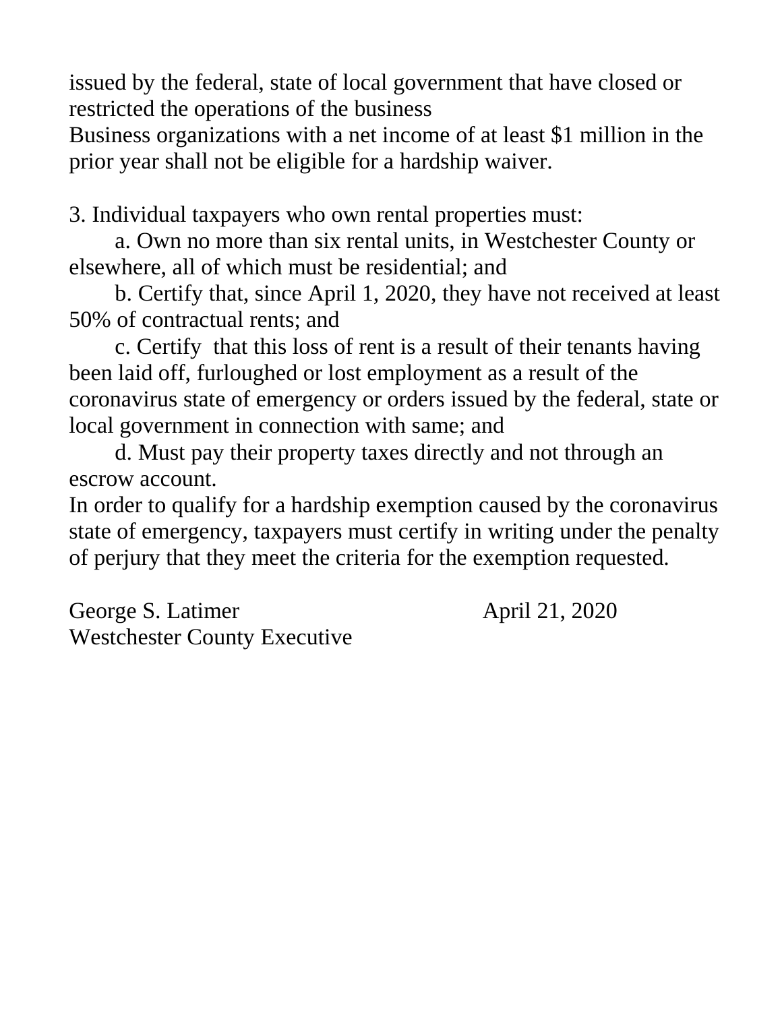issued by the federal, state of local government that have closed or restricted the operations of the business

Business organizations with a net income of at least \$1 million in the prior year shall not be eligible for a hardship waiver.

3. Individual taxpayers who own rental properties must:

a. Own no more than six rental units, in Westchester County or elsewhere, all of which must be residential; and

b. Certify that, since April 1, 2020, they have not received at least 50% of contractual rents; and

c. Certify that this loss of rent is a result of their tenants having been laid off, furloughed or lost employment as a result of the coronavirus state of emergency or orders issued by the federal, state or local government in connection with same; and

d. Must pay their property taxes directly and not through an escrow account.

In order to qualify for a hardship exemption caused by the coronavirus state of emergency, taxpayers must certify in writing under the penalty of perjury that they meet the criteria for the exemption requested.

George S. Latimer April 21, 2020 Westchester County Executive